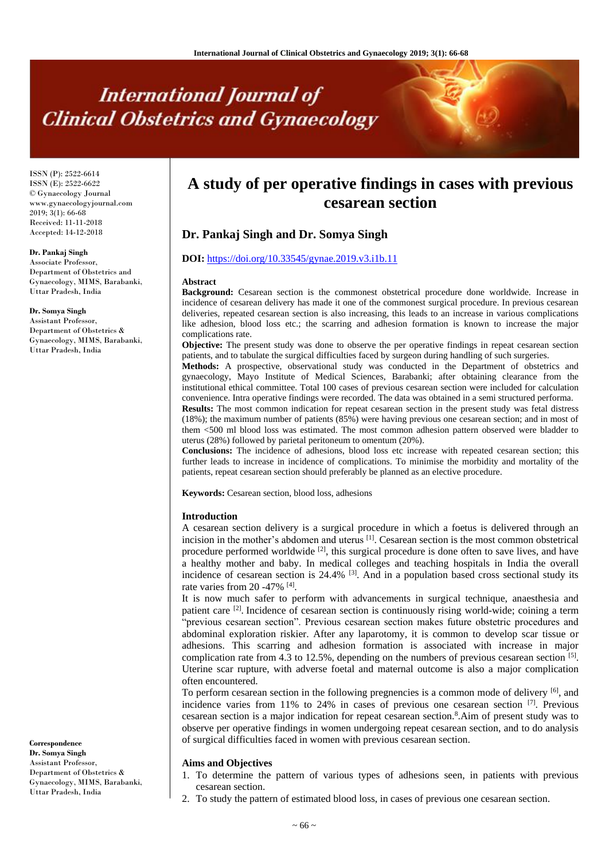# **International Journal of Clinical Obstetrics and Gynaecology**

ISSN (P): 2522-6614 ISSN (E): 2522-6622 © Gynaecology Journal www.gynaecologyjournal.com  $2019$ ;  $3(1)$ : 66-68 Received: 11-11-2018 Accepted: 14-12-2018

# **Dr. Pankaj Singh**

Associate Professor, Department of Obstetrics and Gynaecology, MIMS, Barabanki, Uttar Pradesh, India

#### **Dr. Somya Singh**

Assistant Professor, Department of Obstetrics & Gynaecology, MIMS, Barabanki, Uttar Pradesh, India

**Correspondence Dr. Somya Singh** Assistant Professor, Department of Obstetrics & Gynaecology, MIMS, Barabanki, Uttar Pradesh, India

# **A study of per operative findings in cases with previous cesarean section**

# **Dr. Pankaj Singh and Dr. Somya Singh**

## **DOI:** <https://doi.org/10.33545/gynae.2019.v3.i1b.11>

#### **Abstract**

**Background:** Cesarean section is the commonest obstetrical procedure done worldwide. Increase in incidence of cesarean delivery has made it one of the commonest surgical procedure. In previous cesarean deliveries, repeated cesarean section is also increasing, this leads to an increase in various complications like adhesion, blood loss etc.; the scarring and adhesion formation is known to increase the major complications rate.

**Objective:** The present study was done to observe the per operative findings in repeat cesarean section patients, and to tabulate the surgical difficulties faced by surgeon during handling of such surgeries.

**Methods:** A prospective, observational study was conducted in the Department of obstetrics and gynaecology, Mayo Institute of Medical Sciences, Barabanki; after obtaining clearance from the institutional ethical committee. Total 100 cases of previous cesarean section were included for calculation convenience. Intra operative findings were recorded. The data was obtained in a semi structured performa.

**Results:** The most common indication for repeat cesarean section in the present study was fetal distress (18%); the maximum number of patients (85%) were having previous one cesarean section; and in most of them <500 ml blood loss was estimated. The most common adhesion pattern observed were bladder to uterus (28%) followed by parietal peritoneum to omentum (20%).

**Conclusions:** The incidence of adhesions, blood loss etc increase with repeated cesarean section; this further leads to increase in incidence of complications. To minimise the morbidity and mortality of the patients, repeat cesarean section should preferably be planned as an elective procedure.

**Keywords:** Cesarean section, blood loss, adhesions

#### **Introduction**

A cesarean section delivery is a surgical procedure in which a foetus is delivered through an incision in the mother's abdomen and uterus  $[1]$ . Cesarean section is the most common obstetrical procedure performed worldwide  $\left[2\right]$ , this surgical procedure is done often to save lives, and have a healthy mother and baby. In medical colleges and teaching hospitals in India the overall incidence of cesarean section is  $24.4\%$  <sup>[3]</sup>. And in a population based cross sectional study its rate varies from 20 -47% <sup>[4]</sup>.

It is now much safer to perform with advancements in surgical technique, anaesthesia and patient care <sup>[2]</sup>. Incidence of cesarean section is continuously rising world-wide; coining a term "previous cesarean section". Previous cesarean section makes future obstetric procedures and abdominal exploration riskier. After any laparotomy, it is common to develop scar tissue or adhesions. This scarring and adhesion formation is associated with increase in major complication rate from 4.3 to 12.5%, depending on the numbers of previous cesarean section  $\lbrack$ <sup>51</sup>. Uterine scar rupture, with adverse foetal and maternal outcome is also a major complication often encountered.

To perform cesarean section in the following pregnencies is a common mode of delivery [6], and incidence varies from 11% to 24% in cases of previous one cesarean section <sup>[7]</sup>. Previous cesarean section is a major indication for repeat cesarean section.<sup>8</sup> .Aim of present study was to observe per operative findings in women undergoing repeat cesarean section, and to do analysis of surgical difficulties faced in women with previous cesarean section.

#### **Aims and Objectives**

- 1. To determine the pattern of various types of adhesions seen, in patients with previous cesarean section.
- 2. To study the pattern of estimated blood loss, in cases of previous one cesarean section.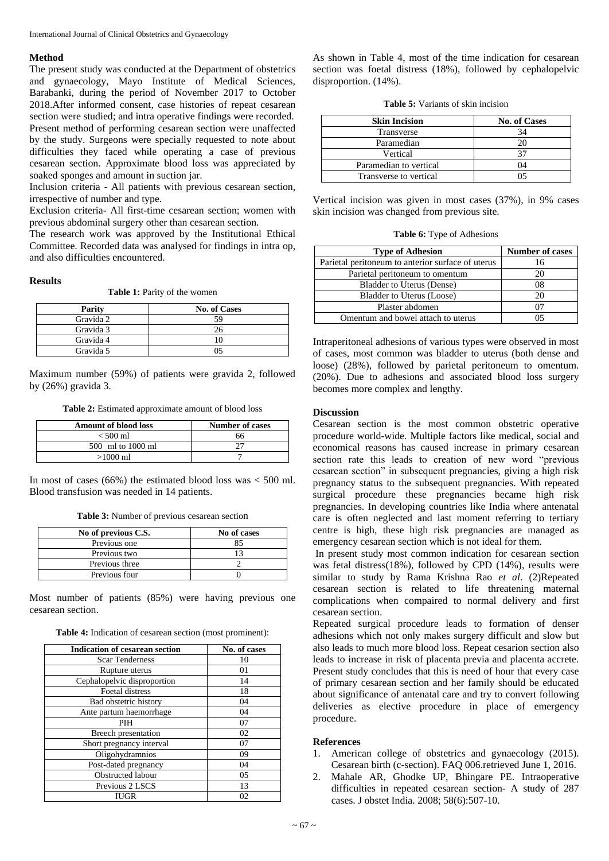### **Method**

The present study was conducted at the Department of obstetrics and gynaecology, Mayo Institute of Medical Sciences, Barabanki, during the period of November 2017 to October 2018.After informed consent, case histories of repeat cesarean section were studied; and intra operative findings were recorded. Present method of performing cesarean section were unaffected by the study. Surgeons were specially requested to note about difficulties they faced while operating a case of previous cesarean section. Approximate blood loss was appreciated by soaked sponges and amount in suction jar.

Inclusion criteria - All patients with previous cesarean section, irrespective of number and type.

Exclusion criteria- All first-time cesarean section; women with previous abdominal surgery other than cesarean section.

The research work was approved by the Institutional Ethical Committee. Recorded data was analysed for findings in intra op, and also difficulties encountered.

#### **Results**

| <b>Parity</b> | <b>No. of Cases</b> |
|---------------|---------------------|
| Gravida 2     | 59                  |
| Gravida 3     |                     |
| Gravida 4     |                     |
| Gravida 5     | ۰,                  |

Maximum number (59%) of patients were gravida 2, followed by (26%) gravida 3.

**Table 2:** Estimated approximate amount of blood loss

| <b>Amount of blood loss</b> | <b>Number of cases</b> |
|-----------------------------|------------------------|
| $< 500$ ml                  | 66                     |
| 500 ml to 1000 ml           |                        |
| $>1000$ ml                  |                        |

In most of cases (66%) the estimated blood loss was  $<$  500 ml. Blood transfusion was needed in 14 patients.

**Table 3:** Number of previous cesarean section

| No of previous C.S. | No of cases |
|---------------------|-------------|
| Previous one        |             |
| Previous two        |             |
| Previous three      |             |
| Previous four       |             |

Most number of patients (85%) were having previous one cesarean section.

|  | <b>Table 4:</b> Indication of cesarean section (most prominent): |  |  |  |  |
|--|------------------------------------------------------------------|--|--|--|--|
|--|------------------------------------------------------------------|--|--|--|--|

| <b>Indication of cesarean section</b> | No. of cases |
|---------------------------------------|--------------|
| <b>Scar Tenderness</b>                | 10           |
| Rupture uterus                        | 01           |
| Cephalopelvic disproportion           | 14           |
| Foetal distress                       | 18           |
| Bad obstetric history                 | 04           |
| Ante partum haemorrhage               | 04           |
| PIH                                   | 07           |
| Breech presentation                   | 02           |
| Short pregnancy interval              | 07           |
| Oligohydramnios                       | 09           |
| Post-dated pregnancy                  | 04           |
| Obstructed labour                     | 05           |
| Previous 2 LSCS                       | 13           |
| <b>IUGR</b>                           | 02           |

As shown in Table 4, most of the time indication for cesarean section was foetal distress (18%), followed by cephalopelvic disproportion. (14%).

**Table 5:** Variants of skin incision

| <b>Skin Incision</b>   | <b>No. of Cases</b> |
|------------------------|---------------------|
| Transverse             |                     |
| Paramedian             |                     |
| Vertical               |                     |
| Paramedian to vertical | 04                  |
| Transverse to vertical |                     |

Vertical incision was given in most cases (37%), in 9% cases skin incision was changed from previous site.

|  |  | <b>Table 6:</b> Type of Adhesions |
|--|--|-----------------------------------|
|--|--|-----------------------------------|

| <b>Type of Adhesion</b>                           | <b>Number of cases</b> |
|---------------------------------------------------|------------------------|
| Parietal peritoneum to anterior surface of uterus | 16                     |
| Parietal peritoneum to omentum                    | 20                     |
| Bladder to Uterus (Dense)                         | 08                     |
| Bladder to Uterus (Loose)                         |                        |
| Plaster abdomen                                   |                        |
| Omentum and bowel attach to uterus                |                        |

Intraperitoneal adhesions of various types were observed in most of cases, most common was bladder to uterus (both dense and loose) (28%), followed by parietal peritoneum to omentum. (20%). Due to adhesions and associated blood loss surgery becomes more complex and lengthy.

#### **Discussion**

Cesarean section is the most common obstetric operative procedure world-wide. Multiple factors like medical, social and economical reasons has caused increase in primary cesarean section rate this leads to creation of new word "previous cesarean section" in subsequent pregnancies, giving a high risk pregnancy status to the subsequent pregnancies. With repeated surgical procedure these pregnancies became high risk pregnancies. In developing countries like India where antenatal care is often neglected and last moment referring to tertiary centre is high, these high risk pregnancies are managed as emergency cesarean section which is not ideal for them.

In present study most common indication for cesarean section was fetal distress(18%), followed by CPD (14%), results were similar to study by Rama Krishna Rao *et al*. (2)Repeated cesarean section is related to life threatening maternal complications when compaired to normal delivery and first cesarean section.

Repeated surgical procedure leads to formation of denser adhesions which not only makes surgery difficult and slow but also leads to much more blood loss. Repeat cesarion section also leads to increase in risk of placenta previa and placenta accrete. Present study concludes that this is need of hour that every case of primary cesarean section and her family should be educated about significance of antenatal care and try to convert following deliveries as elective procedure in place of emergency procedure.

#### **References**

- 1. American college of obstetrics and gynaecology (2015). Cesarean birth (c-section). FAQ 006.retrieved June 1, 2016.
- 2. Mahale AR, Ghodke UP, Bhingare PE. Intraoperative difficulties in repeated cesarean section- A study of 287 cases. J obstet India. 2008; 58(6):507-10.